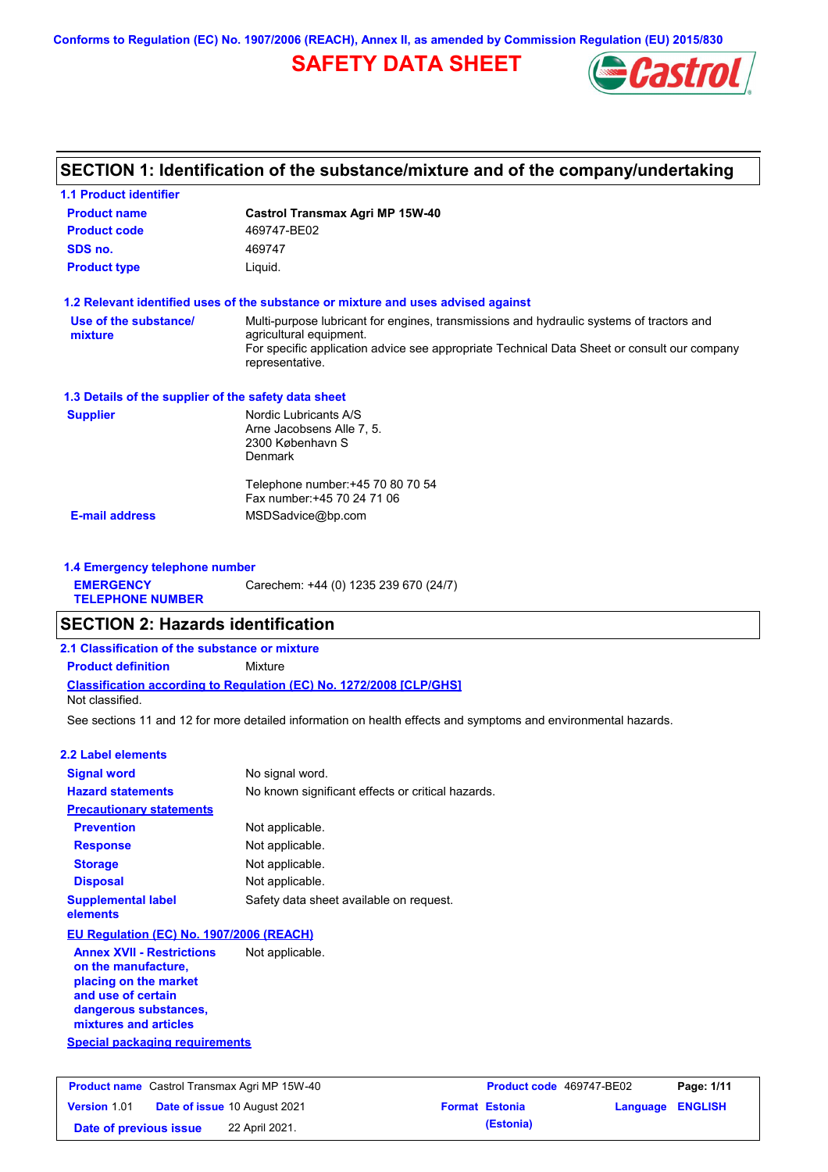**Conforms to Regulation (EC) No. 1907/2006 (REACH), Annex II, as amended by Commission Regulation (EU) 2015/830**

# **SAFETY DATA SHEET**



## **SECTION 1: Identification of the substance/mixture and of the company/undertaking**

| <b>1.1 Product identifier</b>                        |                                                                                                                                                                                                                                       |
|------------------------------------------------------|---------------------------------------------------------------------------------------------------------------------------------------------------------------------------------------------------------------------------------------|
| <b>Product name</b>                                  | <b>Castrol Transmax Agri MP 15W-40</b>                                                                                                                                                                                                |
| <b>Product code</b>                                  | 469747-BE02                                                                                                                                                                                                                           |
| SDS no.                                              | 469747                                                                                                                                                                                                                                |
| <b>Product type</b>                                  | Liquid.                                                                                                                                                                                                                               |
|                                                      | 1.2 Relevant identified uses of the substance or mixture and uses advised against                                                                                                                                                     |
| Use of the substance/<br>mixture                     | Multi-purpose lubricant for engines, transmissions and hydraulic systems of tractors and<br>agricultural equipment.<br>For specific application advice see appropriate Technical Data Sheet or consult our company<br>representative. |
| 1.3 Details of the supplier of the safety data sheet |                                                                                                                                                                                                                                       |
| <b>Supplier</b>                                      | Nordic Lubricants A/S<br>Arne Jacobsens Alle 7, 5.<br>2300 København S<br>Denmark                                                                                                                                                     |
|                                                      | Telephone number: +45 70 80 70 54<br>Fax number: +45 70 24 71 06                                                                                                                                                                      |
| <b>E-mail address</b>                                | MSDSadvice@bp.com                                                                                                                                                                                                                     |
| 1.4 Emergency telephone number                       |                                                                                                                                                                                                                                       |
| <b>EMERGENCY</b><br><b>TELEPHONE NUMBER</b>          | Carechem: +44 (0) 1235 239 670 (24/7)                                                                                                                                                                                                 |

## **Classification according to Regulation (EC) No. 1272/2008 [CLP/GHS] 2.1 Classification of the substance or mixture Product definition** Mixture

Not classified.

See sections 11 and 12 for more detailed information on health effects and symptoms and environmental hazards.

### **2.2 Label elements**

| <b>Signal word</b>                    | No signal word.                                   |
|---------------------------------------|---------------------------------------------------|
| <b>Hazard statements</b>              | No known significant effects or critical hazards. |
| <b>Precautionary statements</b>       |                                                   |
| <b>Prevention</b>                     | Not applicable.                                   |
| <b>Response</b>                       | Not applicable.                                   |
| <b>Storage</b>                        | Not applicable.                                   |
| <b>Disposal</b>                       | Not applicable.                                   |
| <b>Supplemental label</b><br>elements | Safety data sheet available on request.           |

### **EU Regulation (EC) No. 1907/2006 (REACH)**

| <b>Annex XVII - Restrictions</b> | Not applicable. |
|----------------------------------|-----------------|
| on the manufacture,              |                 |
| placing on the market            |                 |
| and use of certain               |                 |
| dangerous substances,            |                 |
| mixtures and articles            |                 |

## **Special packaging requirements**

|                        | <b>Product name</b> Castrol Transmax Agri MP 15W-40 | Product code 469747-BE02 |                         | Page: 1/11 |
|------------------------|-----------------------------------------------------|--------------------------|-------------------------|------------|
| <b>Version 1.01</b>    | <b>Date of issue 10 August 2021</b>                 | <b>Format Estonia</b>    | <b>Language ENGLISH</b> |            |
| Date of previous issue | 22 April 2021.                                      | (Estonia)                |                         |            |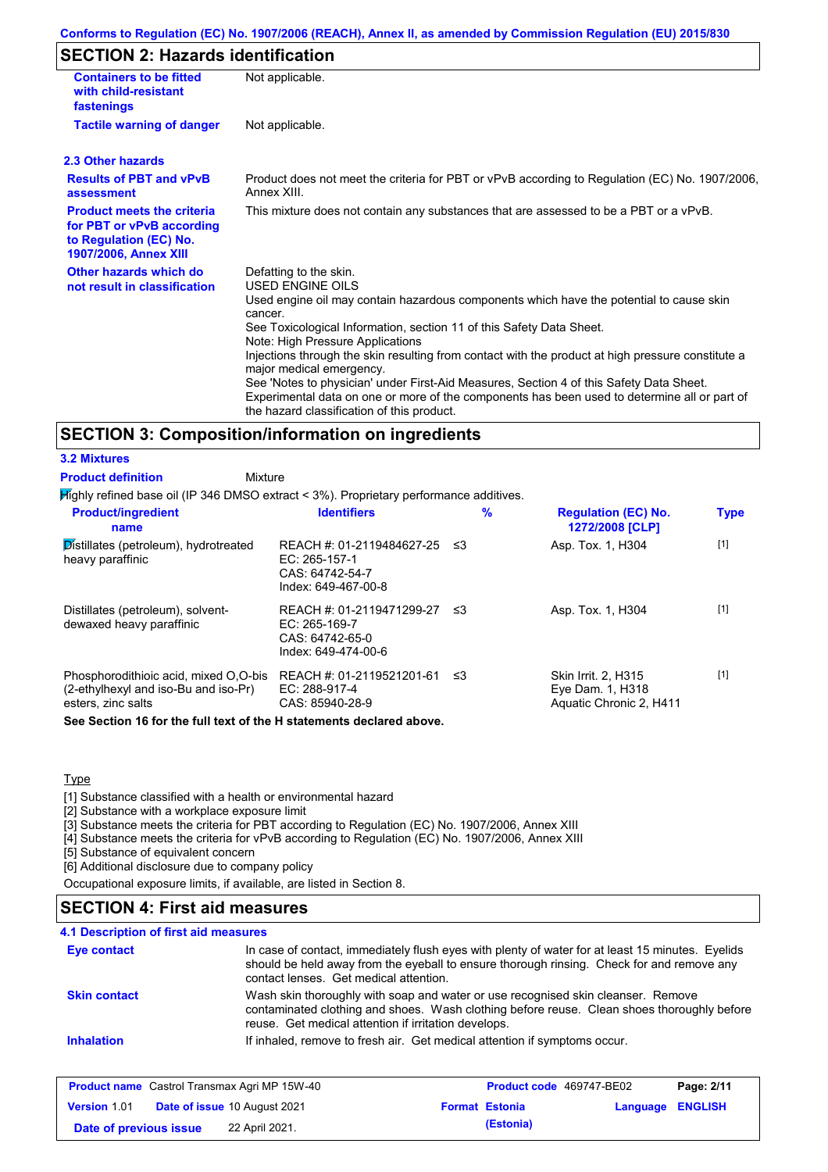## **Conforms to Regulation (EC) No. 1907/2006 (REACH), Annex II, as amended by Commission Regulation (EU) 2015/830**

## **SECTION 2: Hazards identification**

| <b>Containers to be fitted</b><br>with child-resistant<br>fastenings                                                     | Not applicable.                                                                                                                                                                                                                                                                                                                                                                                                                                                                                                                                                                                                                               |
|--------------------------------------------------------------------------------------------------------------------------|-----------------------------------------------------------------------------------------------------------------------------------------------------------------------------------------------------------------------------------------------------------------------------------------------------------------------------------------------------------------------------------------------------------------------------------------------------------------------------------------------------------------------------------------------------------------------------------------------------------------------------------------------|
| <b>Tactile warning of danger</b>                                                                                         | Not applicable.                                                                                                                                                                                                                                                                                                                                                                                                                                                                                                                                                                                                                               |
| 2.3 Other hazards                                                                                                        |                                                                                                                                                                                                                                                                                                                                                                                                                                                                                                                                                                                                                                               |
| <b>Results of PBT and vPvB</b><br>assessment                                                                             | Product does not meet the criteria for PBT or vPvB according to Regulation (EC) No. 1907/2006,<br>Annex XIII.                                                                                                                                                                                                                                                                                                                                                                                                                                                                                                                                 |
| <b>Product meets the criteria</b><br>for PBT or vPvB according<br>to Regulation (EC) No.<br><b>1907/2006, Annex XIII</b> | This mixture does not contain any substances that are assessed to be a PBT or a vPvB.                                                                                                                                                                                                                                                                                                                                                                                                                                                                                                                                                         |
| Other hazards which do<br>not result in classification                                                                   | Defatting to the skin.<br><b>USED ENGINE OILS</b><br>Used engine oil may contain hazardous components which have the potential to cause skin<br>cancer.<br>See Toxicological Information, section 11 of this Safety Data Sheet.<br>Note: High Pressure Applications<br>Injections through the skin resulting from contact with the product at high pressure constitute a<br>major medical emergency.<br>See 'Notes to physician' under First-Aid Measures, Section 4 of this Safety Data Sheet.<br>Experimental data on one or more of the components has been used to determine all or part of<br>the hazard classification of this product. |

## **SECTION 3: Composition/information on ingredients**

### **3.2 Mixtures**

**Product definition**

Mixture

Highly refined base oil (IP 346 DMSO extract < 3%). Proprietary performance additives.

| <b>Product/ingredient</b><br>name                                                                   | <b>Identifiers</b>                                                                        | $\%$ | <b>Regulation (EC) No.</b><br>1272/2008 [CLP]                      | <b>Type</b> |
|-----------------------------------------------------------------------------------------------------|-------------------------------------------------------------------------------------------|------|--------------------------------------------------------------------|-------------|
| Distillates (petroleum), hydrotreated<br>heavy paraffinic                                           | REACH #: 01-2119484627-25<br>EC: 265-157-1<br>CAS: 64742-54-7<br>Index: 649-467-00-8      | - ≤3 | Asp. Tox. 1, H304                                                  | $[1]$       |
| Distillates (petroleum), solvent-<br>dewaxed heavy paraffinic                                       | REACH #: 01-2119471299-27 ≤3<br>$EC: 265-169-7$<br>CAS: 64742-65-0<br>Index: 649-474-00-6 |      | Asp. Tox. 1, H304                                                  | $[1]$       |
| Phosphorodithioic acid, mixed O.O-bis<br>(2-ethylhexyl and iso-Bu and iso-Pr)<br>esters, zinc salts | REACH #: 01-2119521201-61<br>EC: 288-917-4<br>CAS: 85940-28-9                             | - ≤3 | Skin Irrit. 2. H315<br>Eye Dam. 1, H318<br>Aquatic Chronic 2, H411 | $[1]$       |

**See Section 16 for the full text of the H statements declared above.**

### **Type**

[1] Substance classified with a health or environmental hazard

[2] Substance with a workplace exposure limit

[3] Substance meets the criteria for PBT according to Regulation (EC) No. 1907/2006, Annex XIII

[4] Substance meets the criteria for vPvB according to Regulation (EC) No. 1907/2006, Annex XIII

[5] Substance of equivalent concern

[6] Additional disclosure due to company policy

Occupational exposure limits, if available, are listed in Section 8.

## **SECTION 4: First aid measures**

| <b>Eye contact</b>  | In case of contact, immediately flush eyes with plenty of water for at least 15 minutes. Eyelids<br>should be held away from the eyeball to ensure thorough rinsing. Check for and remove any<br>contact lenses. Get medical attention. |
|---------------------|-----------------------------------------------------------------------------------------------------------------------------------------------------------------------------------------------------------------------------------------|
| <b>Skin contact</b> | Wash skin thoroughly with soap and water or use recognised skin cleanser. Remove<br>contaminated clothing and shoes. Wash clothing before reuse. Clean shoes thoroughly before<br>reuse. Get medical attention if irritation develops.  |
| <b>Inhalation</b>   | If inhaled, remove to fresh air. Get medical attention if symptoms occur.                                                                                                                                                               |

| <b>Product name</b> Castrol Transmax Agri MP 15W-40 |                                     |                       | Product code 469747-BE02 | Page: 2/11 |
|-----------------------------------------------------|-------------------------------------|-----------------------|--------------------------|------------|
| <b>Version 1.01</b>                                 | <b>Date of issue 10 August 2021</b> | <b>Format Estonia</b> | <b>Language ENGLISH</b>  |            |
| Date of previous issue                              | 22 April 2021.                      | (Estonia)             |                          |            |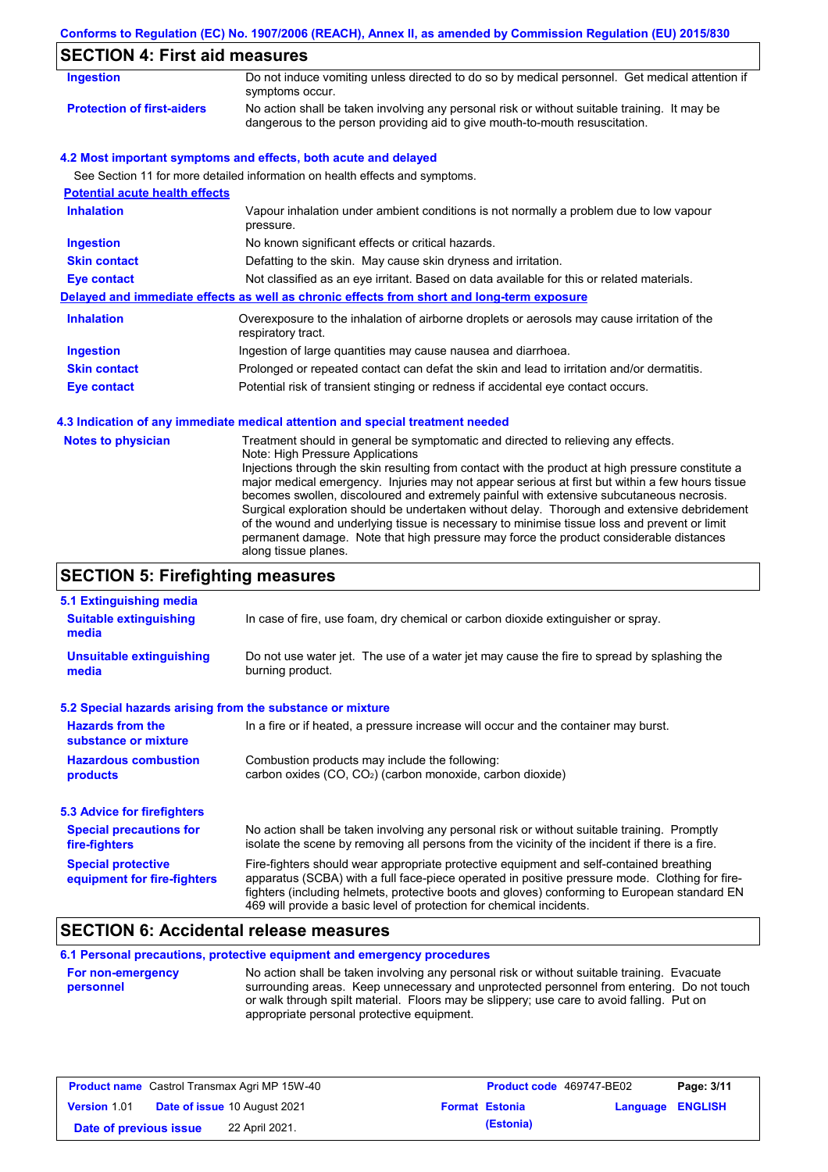## **Conforms to Regulation (EC) No. 1907/2006 (REACH), Annex II, as amended by Commission Regulation (EU) 2015/830**

# **SECTION 4: First aid measures**

| Ingestion                         | Do not induce vomiting unless directed to do so by medical personnel. Get medical attention if<br>symptoms occur.                                                           |
|-----------------------------------|-----------------------------------------------------------------------------------------------------------------------------------------------------------------------------|
| <b>Protection of first-aiders</b> | No action shall be taken involving any personal risk or without suitable training. It may be<br>dangerous to the person providing aid to give mouth-to-mouth resuscitation. |

### **4.2 Most important symptoms and effects, both acute and delayed**

See Section 11 for more detailed information on health effects and symptoms.

| <b>Potential acute health effects</b> |                                                                                                                   |
|---------------------------------------|-------------------------------------------------------------------------------------------------------------------|
| <b>Inhalation</b>                     | Vapour inhalation under ambient conditions is not normally a problem due to low vapour<br>pressure.               |
| <b>Ingestion</b>                      | No known significant effects or critical hazards.                                                                 |
| <b>Skin contact</b>                   | Defatting to the skin. May cause skin dryness and irritation.                                                     |
| Eye contact                           | Not classified as an eye irritant. Based on data available for this or related materials.                         |
|                                       | Delayed and immediate effects as well as chronic effects from short and long-term exposure                        |
| <b>Inhalation</b>                     | Overexposure to the inhalation of airborne droplets or aerosols may cause irritation of the<br>respiratory tract. |
| <b>Ingestion</b>                      | Ingestion of large quantities may cause nausea and diarrhoea.                                                     |
| <b>Skin contact</b>                   | Prolonged or repeated contact can defat the skin and lead to irritation and/or dermatitis.                        |
| Eye contact                           | Potential risk of transient stinging or redness if accidental eye contact occurs.                                 |

### **4.3 Indication of any immediate medical attention and special treatment needed**

| <b>Notes to physician</b> | Treatment should in general be symptomatic and directed to relieving any effects.<br>Note: High Pressure Applications<br>Injections through the skin resulting from contact with the product at high pressure constitute a<br>major medical emergency. Injuries may not appear serious at first but within a few hours tissue<br>becomes swollen, discoloured and extremely painful with extensive subcutaneous necrosis.<br>Surgical exploration should be undertaken without delay. Thorough and extensive debridement<br>of the wound and underlying tissue is necessary to minimise tissue loss and prevent or limit<br>permanent damage. Note that high pressure may force the product considerable distances<br>along tissue planes. |
|---------------------------|--------------------------------------------------------------------------------------------------------------------------------------------------------------------------------------------------------------------------------------------------------------------------------------------------------------------------------------------------------------------------------------------------------------------------------------------------------------------------------------------------------------------------------------------------------------------------------------------------------------------------------------------------------------------------------------------------------------------------------------------|
|---------------------------|--------------------------------------------------------------------------------------------------------------------------------------------------------------------------------------------------------------------------------------------------------------------------------------------------------------------------------------------------------------------------------------------------------------------------------------------------------------------------------------------------------------------------------------------------------------------------------------------------------------------------------------------------------------------------------------------------------------------------------------------|

# **SECTION 5: Firefighting measures**

| 5.1 Extinguishing media                                   |                                                                                                                                                                                                                                                                                                                                                                   |  |
|-----------------------------------------------------------|-------------------------------------------------------------------------------------------------------------------------------------------------------------------------------------------------------------------------------------------------------------------------------------------------------------------------------------------------------------------|--|
| <b>Suitable extinguishing</b><br>media                    | In case of fire, use foam, dry chemical or carbon dioxide extinguisher or spray.                                                                                                                                                                                                                                                                                  |  |
| <b>Unsuitable extinguishing</b><br>media                  | Do not use water jet. The use of a water jet may cause the fire to spread by splashing the<br>burning product.                                                                                                                                                                                                                                                    |  |
| 5.2 Special hazards arising from the substance or mixture |                                                                                                                                                                                                                                                                                                                                                                   |  |
| <b>Hazards from the</b><br>substance or mixture           | In a fire or if heated, a pressure increase will occur and the container may burst.                                                                                                                                                                                                                                                                               |  |
| <b>Hazardous combustion</b><br>products                   | Combustion products may include the following:<br>carbon oxides (CO, CO <sub>2</sub> ) (carbon monoxide, carbon dioxide)                                                                                                                                                                                                                                          |  |
| 5.3 Advice for firefighters                               |                                                                                                                                                                                                                                                                                                                                                                   |  |
| <b>Special precautions for</b><br>fire-fighters           | No action shall be taken involving any personal risk or without suitable training. Promptly<br>isolate the scene by removing all persons from the vicinity of the incident if there is a fire.                                                                                                                                                                    |  |
| <b>Special protective</b><br>equipment for fire-fighters  | Fire-fighters should wear appropriate protective equipment and self-contained breathing<br>apparatus (SCBA) with a full face-piece operated in positive pressure mode. Clothing for fire-<br>fighters (including helmets, protective boots and gloves) conforming to European standard EN<br>469 will provide a basic level of protection for chemical incidents. |  |

# **SECTION 6: Accidental release measures**

**6.1 Personal precautions, protective equipment and emergency procedures**

| <b>For non-emergency</b> | No action shall be taken involving any personal risk or without suitable training. Evacuate |
|--------------------------|---------------------------------------------------------------------------------------------|
| personnel                | surrounding areas. Keep unnecessary and unprotected personnel from entering. Do not touch   |
|                          | or walk through spilt material. Floors may be slippery; use care to avoid falling. Put on   |
|                          | appropriate personal protective equipment.                                                  |

|                        | <b>Product name</b> Castrol Transmax Agri MP 15W-40 | Product code 469747-BE02 |                  | Page: 3/11 |
|------------------------|-----------------------------------------------------|--------------------------|------------------|------------|
| <b>Version 1.01</b>    | <b>Date of issue 10 August 2021</b>                 | <b>Format Estonia</b>    | Language ENGLISH |            |
| Date of previous issue | 22 April 2021.                                      | (Estonia)                |                  |            |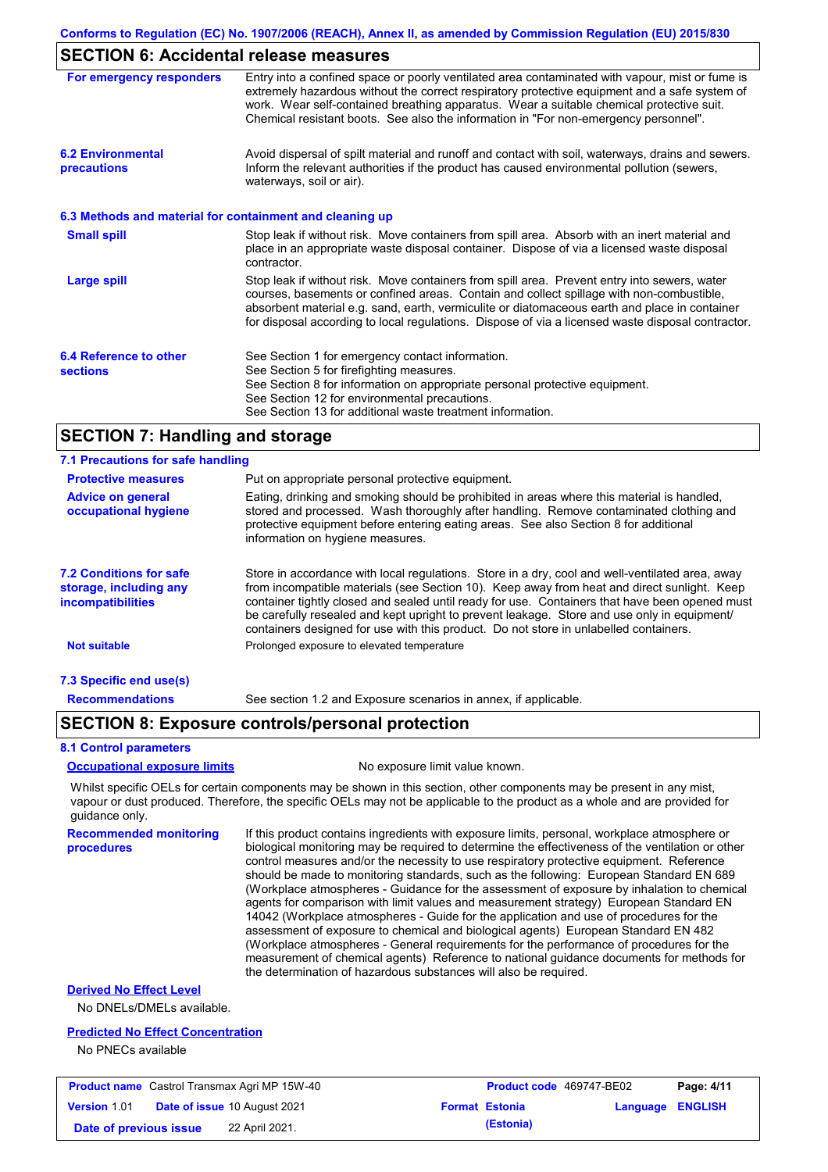## **SECTION 6: Accidental release measures**

| For emergency responders                                 | Entry into a confined space or poorly ventilated area contaminated with vapour, mist or fume is<br>extremely hazardous without the correct respiratory protective equipment and a safe system of<br>work. Wear self-contained breathing apparatus. Wear a suitable chemical protective suit.<br>Chemical resistant boots. See also the information in "For non-emergency personnel".           |
|----------------------------------------------------------|------------------------------------------------------------------------------------------------------------------------------------------------------------------------------------------------------------------------------------------------------------------------------------------------------------------------------------------------------------------------------------------------|
| <b>6.2 Environmental</b><br>precautions                  | Avoid dispersal of spilt material and runoff and contact with soil, waterways, drains and sewers.<br>Inform the relevant authorities if the product has caused environmental pollution (sewers,<br>waterways, soil or air).                                                                                                                                                                    |
| 6.3 Methods and material for containment and cleaning up |                                                                                                                                                                                                                                                                                                                                                                                                |
| <b>Small spill</b>                                       | Stop leak if without risk. Move containers from spill area. Absorb with an inert material and<br>place in an appropriate waste disposal container. Dispose of via a licensed waste disposal<br>contractor.                                                                                                                                                                                     |
| <b>Large spill</b>                                       | Stop leak if without risk. Move containers from spill area. Prevent entry into sewers, water<br>courses, basements or confined areas. Contain and collect spillage with non-combustible,<br>absorbent material e.g. sand, earth, vermiculite or diatomaceous earth and place in container<br>for disposal according to local regulations. Dispose of via a licensed waste disposal contractor. |
| 6.4 Reference to other<br><b>sections</b>                | See Section 1 for emergency contact information.<br>See Section 5 for firefighting measures.<br>See Section 8 for information on appropriate personal protective equipment.<br>See Section 12 for environmental precautions.<br>See Section 13 for additional waste treatment information.                                                                                                     |

## **SECTION 7: Handling and storage**

#### Store in accordance with local regulations. Store in a dry, cool and well-ventilated area, away from incompatible materials (see Section 10). Keep away from heat and direct sunlight. Keep container tightly closed and sealed until ready for use. Containers that have been opened must be carefully resealed and kept upright to prevent leakage. Store and use only in equipment/ containers designed for use with this product. Do not store in unlabelled containers. **7.1 Precautions for safe handling Protective measures Advice on general occupational hygiene 7.2 Conditions for safe storage, including any incompatibilities 7.3 Specific end use(s) Recommendations** Put on appropriate personal protective equipment. Eating, drinking and smoking should be prohibited in areas where this material is handled, stored and processed. Wash thoroughly after handling. Remove contaminated clothing and protective equipment before entering eating areas. See also Section 8 for additional information on hygiene measures. **Not suitable Not suitable** Prolonged exposure to elevated temperature See section 1.2 and Exposure scenarios in annex, if applicable.

## **SECTION 8: Exposure controls/personal protection**

#### **8.1 Control parameters**

**procedures**

**Occupational exposure limits** No exposure limit value known.

Whilst specific OELs for certain components may be shown in this section, other components may be present in any mist, vapour or dust produced. Therefore, the specific OELs may not be applicable to the product as a whole and are provided for guidance only.

**Recommended monitoring**  If this product contains ingredients with exposure limits, personal, workplace atmosphere or biological monitoring may be required to determine the effectiveness of the ventilation or other control measures and/or the necessity to use respiratory protective equipment. Reference should be made to monitoring standards, such as the following: European Standard EN 689 (Workplace atmospheres - Guidance for the assessment of exposure by inhalation to chemical agents for comparison with limit values and measurement strategy) European Standard EN 14042 (Workplace atmospheres - Guide for the application and use of procedures for the assessment of exposure to chemical and biological agents) European Standard EN 482 (Workplace atmospheres - General requirements for the performance of procedures for the measurement of chemical agents) Reference to national guidance documents for methods for the determination of hazardous substances will also be required.

## **Derived No Effect Level**

No DNELs/DMELs available.

#### **Predicted No Effect Concentration**

No PNECs available

| <b>Product name</b> Castrol Transmax Agri MP 15W-40 |  | <b>Product code</b> 469747-BE02     |  | Page: 4/11            |                         |  |
|-----------------------------------------------------|--|-------------------------------------|--|-----------------------|-------------------------|--|
| <b>Version 1.01</b>                                 |  | <b>Date of issue 10 August 2021</b> |  | <b>Format Estonia</b> | <b>Language ENGLISH</b> |  |
| Date of previous issue                              |  | 22 April 2021.                      |  | (Estonia)             |                         |  |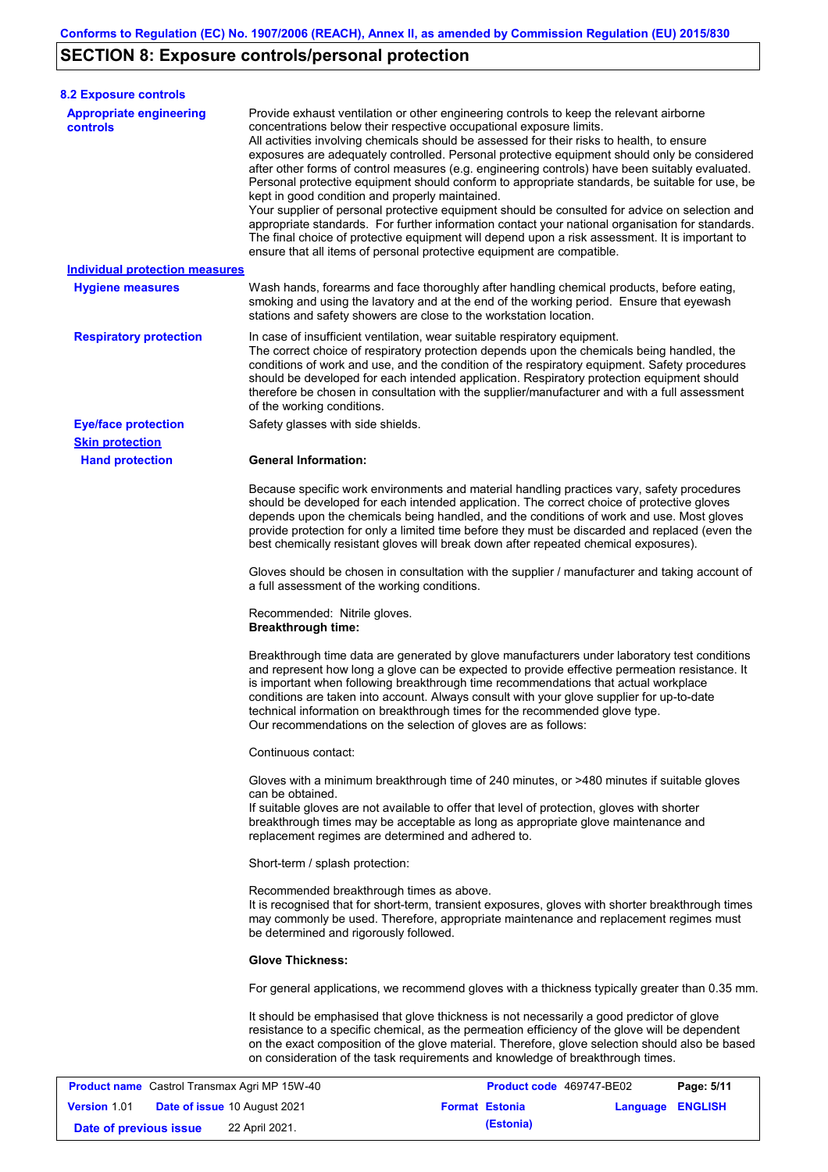# **SECTION 8: Exposure controls/personal protection**

**Version** 1.01

| <b>Appropriate engineering</b><br>Provide exhaust ventilation or other engineering controls to keep the relevant airborne<br>controls<br>concentrations below their respective occupational exposure limits.<br>All activities involving chemicals should be assessed for their risks to health, to ensure<br>exposures are adequately controlled. Personal protective equipment should only be considered<br>after other forms of control measures (e.g. engineering controls) have been suitably evaluated.<br>Personal protective equipment should conform to appropriate standards, be suitable for use, be<br>kept in good condition and properly maintained.<br>Your supplier of personal protective equipment should be consulted for advice on selection and<br>appropriate standards. For further information contact your national organisation for standards.<br>The final choice of protective equipment will depend upon a risk assessment. It is important to<br>ensure that all items of personal protective equipment are compatible.<br><b>Individual protection measures</b><br>Wash hands, forearms and face thoroughly after handling chemical products, before eating,<br><b>Hygiene measures</b><br>smoking and using the lavatory and at the end of the working period. Ensure that eyewash<br>stations and safety showers are close to the workstation location.<br><b>Respiratory protection</b><br>In case of insufficient ventilation, wear suitable respiratory equipment.<br>The correct choice of respiratory protection depends upon the chemicals being handled, the<br>conditions of work and use, and the condition of the respiratory equipment. Safety procedures<br>should be developed for each intended application. Respiratory protection equipment should<br>therefore be chosen in consultation with the supplier/manufacturer and with a full assessment<br>of the working conditions.<br><b>Eye/face protection</b><br>Safety glasses with side shields.<br><b>Skin protection</b><br><b>Hand protection</b><br><b>General Information:</b><br>Because specific work environments and material handling practices vary, safety procedures<br>should be developed for each intended application. The correct choice of protective gloves<br>depends upon the chemicals being handled, and the conditions of work and use. Most gloves<br>provide protection for only a limited time before they must be discarded and replaced (even the<br>best chemically resistant gloves will break down after repeated chemical exposures).<br>Gloves should be chosen in consultation with the supplier / manufacturer and taking account of<br>a full assessment of the working conditions.<br>Recommended: Nitrile gloves.<br><b>Breakthrough time:</b><br>Breakthrough time data are generated by glove manufacturers under laboratory test conditions<br>and represent how long a glove can be expected to provide effective permeation resistance. It<br>is important when following breakthrough time recommendations that actual workplace<br>conditions are taken into account. Always consult with your glove supplier for up-to-date<br>technical information on breakthrough times for the recommended glove type.<br>Our recommendations on the selection of gloves are as follows:<br>Continuous contact:<br>Gloves with a minimum breakthrough time of 240 minutes, or >480 minutes if suitable gloves<br>can be obtained.<br>If suitable gloves are not available to offer that level of protection, gloves with shorter<br>breakthrough times may be acceptable as long as appropriate glove maintenance and<br>replacement regimes are determined and adhered to.<br>Short-term / splash protection:<br>Recommended breakthrough times as above.<br>It is recognised that for short-term, transient exposures, gloves with shorter breakthrough times<br>may commonly be used. Therefore, appropriate maintenance and replacement regimes must<br>be determined and rigorously followed.<br><b>Glove Thickness:</b><br>For general applications, we recommend gloves with a thickness typically greater than 0.35 mm.<br>It should be emphasised that glove thickness is not necessarily a good predictor of glove<br>resistance to a specific chemical, as the permeation efficiency of the glove will be dependent<br>on the exact composition of the glove material. Therefore, glove selection should also be based<br>on consideration of the task requirements and knowledge of breakthrough times.<br>Product name Castrol Transmax Agri MP 15W-40<br>Product code 469747-BE02 | <b>8.2 Exposure controls</b> |  |            |
|------------------------------------------------------------------------------------------------------------------------------------------------------------------------------------------------------------------------------------------------------------------------------------------------------------------------------------------------------------------------------------------------------------------------------------------------------------------------------------------------------------------------------------------------------------------------------------------------------------------------------------------------------------------------------------------------------------------------------------------------------------------------------------------------------------------------------------------------------------------------------------------------------------------------------------------------------------------------------------------------------------------------------------------------------------------------------------------------------------------------------------------------------------------------------------------------------------------------------------------------------------------------------------------------------------------------------------------------------------------------------------------------------------------------------------------------------------------------------------------------------------------------------------------------------------------------------------------------------------------------------------------------------------------------------------------------------------------------------------------------------------------------------------------------------------------------------------------------------------------------------------------------------------------------------------------------------------------------------------------------------------------------------------------------------------------------------------------------------------------------------------------------------------------------------------------------------------------------------------------------------------------------------------------------------------------------------------------------------------------------------------------------------------------------------------------------------------------------------------------------------------------------------------------------------------------------------------------------------------------------------------------------------------------------------------------------------------------------------------------------------------------------------------------------------------------------------------------------------------------------------------------------------------------------------------------------------------------------------------------------------------------------------------------------------------------------------------------------------------------------------------------------------------------------------------------------------------------------------------------------------------------------------------------------------------------------------------------------------------------------------------------------------------------------------------------------------------------------------------------------------------------------------------------------------------------------------------------------------------------------------------------------------------------------------------------------------------------------------------------------------------------------------------------------------------------------------------------------------------------------------------------------------------------------------------------------------------------------------------------------------------------------------------------------------------------------------------------------------------------------------------------------------------------------------------------------------------------------------------------------------------------------------------------------------------------------------------------------------------------------------------------------------------------------------------------------------------------------------------------------------------------------------------------------------------------------------------------------------------------------------------------|------------------------------|--|------------|
|                                                                                                                                                                                                                                                                                                                                                                                                                                                                                                                                                                                                                                                                                                                                                                                                                                                                                                                                                                                                                                                                                                                                                                                                                                                                                                                                                                                                                                                                                                                                                                                                                                                                                                                                                                                                                                                                                                                                                                                                                                                                                                                                                                                                                                                                                                                                                                                                                                                                                                                                                                                                                                                                                                                                                                                                                                                                                                                                                                                                                                                                                                                                                                                                                                                                                                                                                                                                                                                                                                                                                                                                                                                                                                                                                                                                                                                                                                                                                                                                                                                                                                                                                                                                                                                                                                                                                                                                                                                                                                                                                                                                                                          |                              |  |            |
|                                                                                                                                                                                                                                                                                                                                                                                                                                                                                                                                                                                                                                                                                                                                                                                                                                                                                                                                                                                                                                                                                                                                                                                                                                                                                                                                                                                                                                                                                                                                                                                                                                                                                                                                                                                                                                                                                                                                                                                                                                                                                                                                                                                                                                                                                                                                                                                                                                                                                                                                                                                                                                                                                                                                                                                                                                                                                                                                                                                                                                                                                                                                                                                                                                                                                                                                                                                                                                                                                                                                                                                                                                                                                                                                                                                                                                                                                                                                                                                                                                                                                                                                                                                                                                                                                                                                                                                                                                                                                                                                                                                                                                          |                              |  |            |
|                                                                                                                                                                                                                                                                                                                                                                                                                                                                                                                                                                                                                                                                                                                                                                                                                                                                                                                                                                                                                                                                                                                                                                                                                                                                                                                                                                                                                                                                                                                                                                                                                                                                                                                                                                                                                                                                                                                                                                                                                                                                                                                                                                                                                                                                                                                                                                                                                                                                                                                                                                                                                                                                                                                                                                                                                                                                                                                                                                                                                                                                                                                                                                                                                                                                                                                                                                                                                                                                                                                                                                                                                                                                                                                                                                                                                                                                                                                                                                                                                                                                                                                                                                                                                                                                                                                                                                                                                                                                                                                                                                                                                                          |                              |  |            |
|                                                                                                                                                                                                                                                                                                                                                                                                                                                                                                                                                                                                                                                                                                                                                                                                                                                                                                                                                                                                                                                                                                                                                                                                                                                                                                                                                                                                                                                                                                                                                                                                                                                                                                                                                                                                                                                                                                                                                                                                                                                                                                                                                                                                                                                                                                                                                                                                                                                                                                                                                                                                                                                                                                                                                                                                                                                                                                                                                                                                                                                                                                                                                                                                                                                                                                                                                                                                                                                                                                                                                                                                                                                                                                                                                                                                                                                                                                                                                                                                                                                                                                                                                                                                                                                                                                                                                                                                                                                                                                                                                                                                                                          |                              |  |            |
|                                                                                                                                                                                                                                                                                                                                                                                                                                                                                                                                                                                                                                                                                                                                                                                                                                                                                                                                                                                                                                                                                                                                                                                                                                                                                                                                                                                                                                                                                                                                                                                                                                                                                                                                                                                                                                                                                                                                                                                                                                                                                                                                                                                                                                                                                                                                                                                                                                                                                                                                                                                                                                                                                                                                                                                                                                                                                                                                                                                                                                                                                                                                                                                                                                                                                                                                                                                                                                                                                                                                                                                                                                                                                                                                                                                                                                                                                                                                                                                                                                                                                                                                                                                                                                                                                                                                                                                                                                                                                                                                                                                                                                          |                              |  |            |
|                                                                                                                                                                                                                                                                                                                                                                                                                                                                                                                                                                                                                                                                                                                                                                                                                                                                                                                                                                                                                                                                                                                                                                                                                                                                                                                                                                                                                                                                                                                                                                                                                                                                                                                                                                                                                                                                                                                                                                                                                                                                                                                                                                                                                                                                                                                                                                                                                                                                                                                                                                                                                                                                                                                                                                                                                                                                                                                                                                                                                                                                                                                                                                                                                                                                                                                                                                                                                                                                                                                                                                                                                                                                                                                                                                                                                                                                                                                                                                                                                                                                                                                                                                                                                                                                                                                                                                                                                                                                                                                                                                                                                                          |                              |  |            |
|                                                                                                                                                                                                                                                                                                                                                                                                                                                                                                                                                                                                                                                                                                                                                                                                                                                                                                                                                                                                                                                                                                                                                                                                                                                                                                                                                                                                                                                                                                                                                                                                                                                                                                                                                                                                                                                                                                                                                                                                                                                                                                                                                                                                                                                                                                                                                                                                                                                                                                                                                                                                                                                                                                                                                                                                                                                                                                                                                                                                                                                                                                                                                                                                                                                                                                                                                                                                                                                                                                                                                                                                                                                                                                                                                                                                                                                                                                                                                                                                                                                                                                                                                                                                                                                                                                                                                                                                                                                                                                                                                                                                                                          |                              |  |            |
|                                                                                                                                                                                                                                                                                                                                                                                                                                                                                                                                                                                                                                                                                                                                                                                                                                                                                                                                                                                                                                                                                                                                                                                                                                                                                                                                                                                                                                                                                                                                                                                                                                                                                                                                                                                                                                                                                                                                                                                                                                                                                                                                                                                                                                                                                                                                                                                                                                                                                                                                                                                                                                                                                                                                                                                                                                                                                                                                                                                                                                                                                                                                                                                                                                                                                                                                                                                                                                                                                                                                                                                                                                                                                                                                                                                                                                                                                                                                                                                                                                                                                                                                                                                                                                                                                                                                                                                                                                                                                                                                                                                                                                          |                              |  |            |
|                                                                                                                                                                                                                                                                                                                                                                                                                                                                                                                                                                                                                                                                                                                                                                                                                                                                                                                                                                                                                                                                                                                                                                                                                                                                                                                                                                                                                                                                                                                                                                                                                                                                                                                                                                                                                                                                                                                                                                                                                                                                                                                                                                                                                                                                                                                                                                                                                                                                                                                                                                                                                                                                                                                                                                                                                                                                                                                                                                                                                                                                                                                                                                                                                                                                                                                                                                                                                                                                                                                                                                                                                                                                                                                                                                                                                                                                                                                                                                                                                                                                                                                                                                                                                                                                                                                                                                                                                                                                                                                                                                                                                                          |                              |  |            |
|                                                                                                                                                                                                                                                                                                                                                                                                                                                                                                                                                                                                                                                                                                                                                                                                                                                                                                                                                                                                                                                                                                                                                                                                                                                                                                                                                                                                                                                                                                                                                                                                                                                                                                                                                                                                                                                                                                                                                                                                                                                                                                                                                                                                                                                                                                                                                                                                                                                                                                                                                                                                                                                                                                                                                                                                                                                                                                                                                                                                                                                                                                                                                                                                                                                                                                                                                                                                                                                                                                                                                                                                                                                                                                                                                                                                                                                                                                                                                                                                                                                                                                                                                                                                                                                                                                                                                                                                                                                                                                                                                                                                                                          |                              |  |            |
|                                                                                                                                                                                                                                                                                                                                                                                                                                                                                                                                                                                                                                                                                                                                                                                                                                                                                                                                                                                                                                                                                                                                                                                                                                                                                                                                                                                                                                                                                                                                                                                                                                                                                                                                                                                                                                                                                                                                                                                                                                                                                                                                                                                                                                                                                                                                                                                                                                                                                                                                                                                                                                                                                                                                                                                                                                                                                                                                                                                                                                                                                                                                                                                                                                                                                                                                                                                                                                                                                                                                                                                                                                                                                                                                                                                                                                                                                                                                                                                                                                                                                                                                                                                                                                                                                                                                                                                                                                                                                                                                                                                                                                          |                              |  |            |
|                                                                                                                                                                                                                                                                                                                                                                                                                                                                                                                                                                                                                                                                                                                                                                                                                                                                                                                                                                                                                                                                                                                                                                                                                                                                                                                                                                                                                                                                                                                                                                                                                                                                                                                                                                                                                                                                                                                                                                                                                                                                                                                                                                                                                                                                                                                                                                                                                                                                                                                                                                                                                                                                                                                                                                                                                                                                                                                                                                                                                                                                                                                                                                                                                                                                                                                                                                                                                                                                                                                                                                                                                                                                                                                                                                                                                                                                                                                                                                                                                                                                                                                                                                                                                                                                                                                                                                                                                                                                                                                                                                                                                                          |                              |  |            |
|                                                                                                                                                                                                                                                                                                                                                                                                                                                                                                                                                                                                                                                                                                                                                                                                                                                                                                                                                                                                                                                                                                                                                                                                                                                                                                                                                                                                                                                                                                                                                                                                                                                                                                                                                                                                                                                                                                                                                                                                                                                                                                                                                                                                                                                                                                                                                                                                                                                                                                                                                                                                                                                                                                                                                                                                                                                                                                                                                                                                                                                                                                                                                                                                                                                                                                                                                                                                                                                                                                                                                                                                                                                                                                                                                                                                                                                                                                                                                                                                                                                                                                                                                                                                                                                                                                                                                                                                                                                                                                                                                                                                                                          |                              |  |            |
|                                                                                                                                                                                                                                                                                                                                                                                                                                                                                                                                                                                                                                                                                                                                                                                                                                                                                                                                                                                                                                                                                                                                                                                                                                                                                                                                                                                                                                                                                                                                                                                                                                                                                                                                                                                                                                                                                                                                                                                                                                                                                                                                                                                                                                                                                                                                                                                                                                                                                                                                                                                                                                                                                                                                                                                                                                                                                                                                                                                                                                                                                                                                                                                                                                                                                                                                                                                                                                                                                                                                                                                                                                                                                                                                                                                                                                                                                                                                                                                                                                                                                                                                                                                                                                                                                                                                                                                                                                                                                                                                                                                                                                          |                              |  |            |
|                                                                                                                                                                                                                                                                                                                                                                                                                                                                                                                                                                                                                                                                                                                                                                                                                                                                                                                                                                                                                                                                                                                                                                                                                                                                                                                                                                                                                                                                                                                                                                                                                                                                                                                                                                                                                                                                                                                                                                                                                                                                                                                                                                                                                                                                                                                                                                                                                                                                                                                                                                                                                                                                                                                                                                                                                                                                                                                                                                                                                                                                                                                                                                                                                                                                                                                                                                                                                                                                                                                                                                                                                                                                                                                                                                                                                                                                                                                                                                                                                                                                                                                                                                                                                                                                                                                                                                                                                                                                                                                                                                                                                                          |                              |  |            |
|                                                                                                                                                                                                                                                                                                                                                                                                                                                                                                                                                                                                                                                                                                                                                                                                                                                                                                                                                                                                                                                                                                                                                                                                                                                                                                                                                                                                                                                                                                                                                                                                                                                                                                                                                                                                                                                                                                                                                                                                                                                                                                                                                                                                                                                                                                                                                                                                                                                                                                                                                                                                                                                                                                                                                                                                                                                                                                                                                                                                                                                                                                                                                                                                                                                                                                                                                                                                                                                                                                                                                                                                                                                                                                                                                                                                                                                                                                                                                                                                                                                                                                                                                                                                                                                                                                                                                                                                                                                                                                                                                                                                                                          |                              |  |            |
|                                                                                                                                                                                                                                                                                                                                                                                                                                                                                                                                                                                                                                                                                                                                                                                                                                                                                                                                                                                                                                                                                                                                                                                                                                                                                                                                                                                                                                                                                                                                                                                                                                                                                                                                                                                                                                                                                                                                                                                                                                                                                                                                                                                                                                                                                                                                                                                                                                                                                                                                                                                                                                                                                                                                                                                                                                                                                                                                                                                                                                                                                                                                                                                                                                                                                                                                                                                                                                                                                                                                                                                                                                                                                                                                                                                                                                                                                                                                                                                                                                                                                                                                                                                                                                                                                                                                                                                                                                                                                                                                                                                                                                          |                              |  |            |
|                                                                                                                                                                                                                                                                                                                                                                                                                                                                                                                                                                                                                                                                                                                                                                                                                                                                                                                                                                                                                                                                                                                                                                                                                                                                                                                                                                                                                                                                                                                                                                                                                                                                                                                                                                                                                                                                                                                                                                                                                                                                                                                                                                                                                                                                                                                                                                                                                                                                                                                                                                                                                                                                                                                                                                                                                                                                                                                                                                                                                                                                                                                                                                                                                                                                                                                                                                                                                                                                                                                                                                                                                                                                                                                                                                                                                                                                                                                                                                                                                                                                                                                                                                                                                                                                                                                                                                                                                                                                                                                                                                                                                                          |                              |  | Page: 5/11 |

**Date of issue** 10 August 2021 **Format Estonia Language ENGLISH**

**Date of previous issue** 22 April 2021.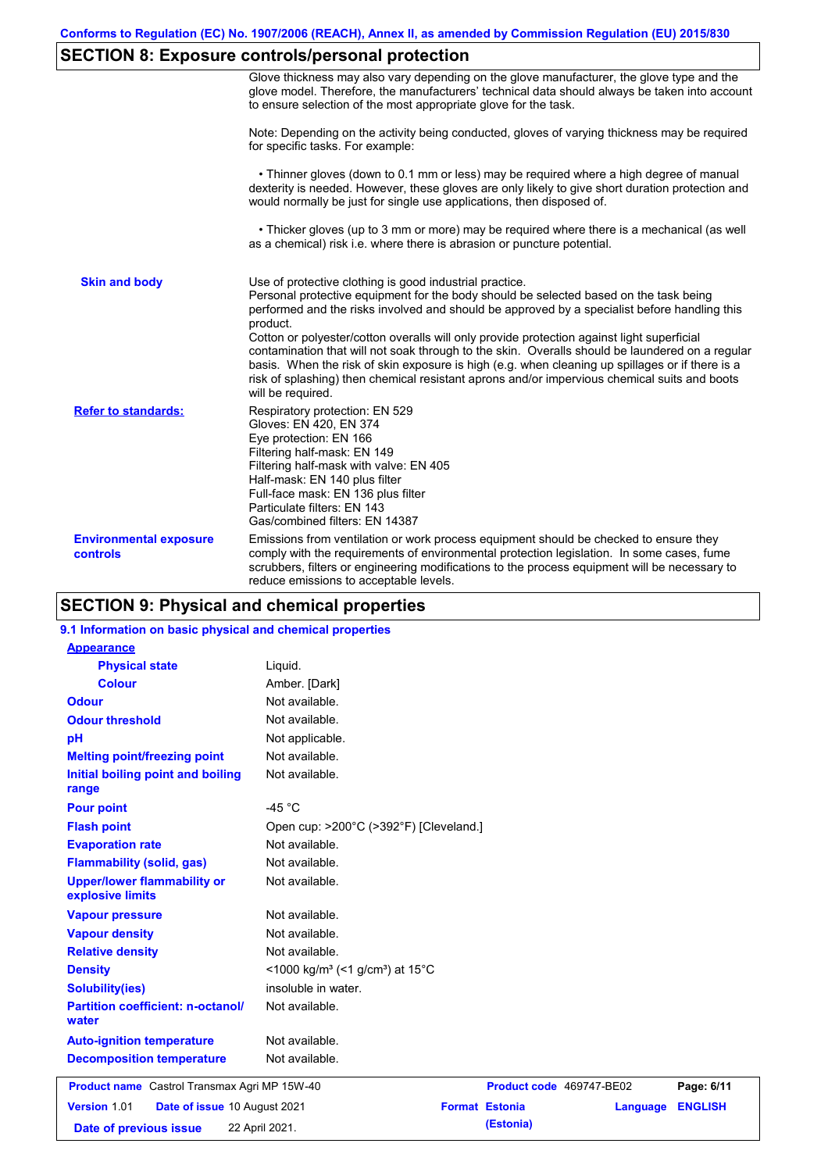# **SECTION 8: Exposure controls/personal protection**

|                                           | Glove thickness may also vary depending on the glove manufacturer, the glove type and the<br>glove model. Therefore, the manufacturers' technical data should always be taken into account<br>to ensure selection of the most appropriate glove for the task.                                                                                                                                                                                                                                                                                                                                                                                                                         |
|-------------------------------------------|---------------------------------------------------------------------------------------------------------------------------------------------------------------------------------------------------------------------------------------------------------------------------------------------------------------------------------------------------------------------------------------------------------------------------------------------------------------------------------------------------------------------------------------------------------------------------------------------------------------------------------------------------------------------------------------|
|                                           | Note: Depending on the activity being conducted, gloves of varying thickness may be required<br>for specific tasks. For example:                                                                                                                                                                                                                                                                                                                                                                                                                                                                                                                                                      |
|                                           | • Thinner gloves (down to 0.1 mm or less) may be required where a high degree of manual<br>dexterity is needed. However, these gloves are only likely to give short duration protection and<br>would normally be just for single use applications, then disposed of.                                                                                                                                                                                                                                                                                                                                                                                                                  |
|                                           | • Thicker gloves (up to 3 mm or more) may be required where there is a mechanical (as well<br>as a chemical) risk i.e. where there is abrasion or puncture potential.                                                                                                                                                                                                                                                                                                                                                                                                                                                                                                                 |
| <b>Skin and body</b>                      | Use of protective clothing is good industrial practice.<br>Personal protective equipment for the body should be selected based on the task being<br>performed and the risks involved and should be approved by a specialist before handling this<br>product.<br>Cotton or polyester/cotton overalls will only provide protection against light superficial<br>contamination that will not soak through to the skin. Overalls should be laundered on a regular<br>basis. When the risk of skin exposure is high (e.g. when cleaning up spillages or if there is a<br>risk of splashing) then chemical resistant aprons and/or impervious chemical suits and boots<br>will be required. |
| <b>Refer to standards:</b>                | Respiratory protection: EN 529<br>Gloves: EN 420, EN 374<br>Eye protection: EN 166<br>Filtering half-mask: EN 149<br>Filtering half-mask with valve: EN 405<br>Half-mask: EN 140 plus filter<br>Full-face mask: EN 136 plus filter<br>Particulate filters: EN 143<br>Gas/combined filters: EN 14387                                                                                                                                                                                                                                                                                                                                                                                   |
| <b>Environmental exposure</b><br>controls | Emissions from ventilation or work process equipment should be checked to ensure they<br>comply with the requirements of environmental protection legislation. In some cases, fume<br>scrubbers, filters or engineering modifications to the process equipment will be necessary to<br>reduce emissions to acceptable levels.                                                                                                                                                                                                                                                                                                                                                         |

## **SECTION 9: Physical and chemical properties**

## **9.1 Information on basic physical and chemical properties**

| <b>Appearance</b>                                      |                                                         |
|--------------------------------------------------------|---------------------------------------------------------|
| <b>Physical state</b>                                  | Liquid.                                                 |
| <b>Colour</b>                                          | Amber. [Dark]                                           |
| <b>Odour</b>                                           | Not available.                                          |
| <b>Odour threshold</b>                                 | Not available.                                          |
| pH                                                     | Not applicable.                                         |
| <b>Melting point/freezing point</b>                    | Not available.                                          |
| Initial boiling point and boiling<br>range             | Not available.                                          |
| <b>Pour point</b>                                      | -45 $^{\circ}$ C                                        |
| <b>Flash point</b>                                     | Open cup: >200°C (>392°F) [Cleveland.]                  |
| <b>Evaporation rate</b>                                | Not available.                                          |
| <b>Flammability (solid, gas)</b>                       | Not available.                                          |
| <b>Upper/lower flammability or</b><br>explosive limits | Not available.                                          |
| <b>Vapour pressure</b>                                 | Not available.                                          |
| <b>Vapour density</b>                                  | Not available.                                          |
| <b>Relative density</b>                                | Not available.                                          |
| <b>Density</b>                                         | <1000 kg/m <sup>3</sup> (<1 g/cm <sup>3</sup> ) at 15°C |
| <b>Solubility(ies)</b>                                 | insoluble in water.                                     |
| <b>Partition coefficient: n-octanol/</b><br>water      | Not available.                                          |
| <b>Auto-ignition temperature</b>                       | Not available.                                          |
| <b>Decomposition temperature</b>                       | Not available.                                          |
| Product name Castrol Transmax Agri MP 15W-40           | Page: 6/11<br>Product code 469747-BE02                  |
| Version 1.01<br>Date of issue 10 August 2021           | <b>ENGLISH</b><br><b>Format Estonia</b><br>Language     |
| Date of previous issue                                 | (Estonia)<br>22 April 2021.                             |
|                                                        |                                                         |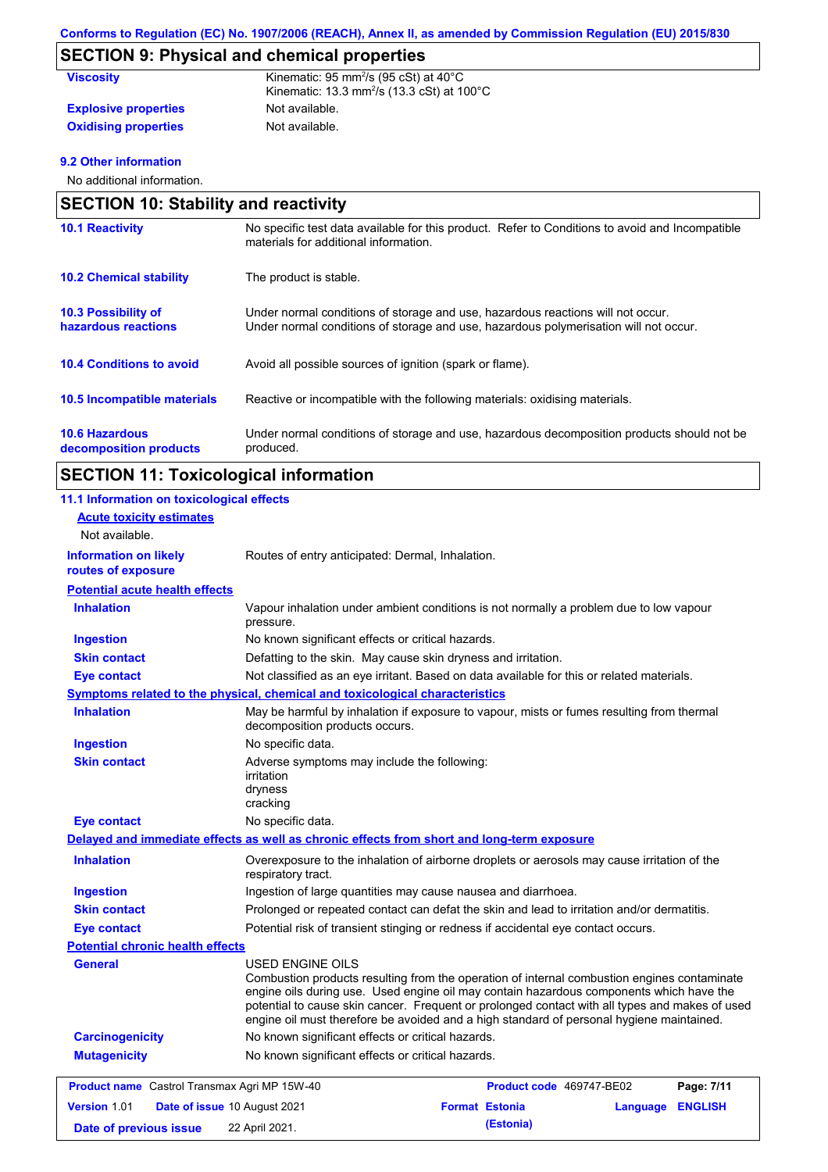# **SECTION 9: Physical and chemical properties**

| <b>Viscosity</b>            | Kinematic: 95 mm <sup>2</sup> /s (95 cSt) at $40^{\circ}$ C<br>Kinematic: 13.3 mm <sup>2</sup> /s (13.3 cSt) at $100^{\circ}$ C |
|-----------------------------|---------------------------------------------------------------------------------------------------------------------------------|
| <b>Explosive properties</b> | Not available.                                                                                                                  |
| <b>Oxidising properties</b> | Not available.                                                                                                                  |

## **9.2 Other information**

No additional information.

| <b>SECTION 10: Stability and reactivity</b>       |                                                                                                                                                                         |  |
|---------------------------------------------------|-------------------------------------------------------------------------------------------------------------------------------------------------------------------------|--|
| <b>10.1 Reactivity</b>                            | No specific test data available for this product. Refer to Conditions to avoid and Incompatible<br>materials for additional information.                                |  |
| <b>10.2 Chemical stability</b>                    | The product is stable.                                                                                                                                                  |  |
| <b>10.3 Possibility of</b><br>hazardous reactions | Under normal conditions of storage and use, hazardous reactions will not occur.<br>Under normal conditions of storage and use, hazardous polymerisation will not occur. |  |
| <b>10.4 Conditions to avoid</b>                   | Avoid all possible sources of ignition (spark or flame).                                                                                                                |  |
| 10.5 Incompatible materials                       | Reactive or incompatible with the following materials: oxidising materials.                                                                                             |  |
| <b>10.6 Hazardous</b><br>decomposition products   | Under normal conditions of storage and use, hazardous decomposition products should not be<br>produced.                                                                 |  |

# **SECTION 11: Toxicological information**

| 11.1 Information on toxicological effects           |                                                                                                                                                                                                                                                                                                                                                                                                                 |
|-----------------------------------------------------|-----------------------------------------------------------------------------------------------------------------------------------------------------------------------------------------------------------------------------------------------------------------------------------------------------------------------------------------------------------------------------------------------------------------|
| <b>Acute toxicity estimates</b>                     |                                                                                                                                                                                                                                                                                                                                                                                                                 |
| Not available.                                      |                                                                                                                                                                                                                                                                                                                                                                                                                 |
| <b>Information on likely</b><br>routes of exposure  | Routes of entry anticipated: Dermal, Inhalation.                                                                                                                                                                                                                                                                                                                                                                |
| <b>Potential acute health effects</b>               |                                                                                                                                                                                                                                                                                                                                                                                                                 |
| <b>Inhalation</b>                                   | Vapour inhalation under ambient conditions is not normally a problem due to low vapour<br>pressure.                                                                                                                                                                                                                                                                                                             |
| <b>Ingestion</b>                                    | No known significant effects or critical hazards.                                                                                                                                                                                                                                                                                                                                                               |
| <b>Skin contact</b>                                 | Defatting to the skin. May cause skin dryness and irritation.                                                                                                                                                                                                                                                                                                                                                   |
| <b>Eye contact</b>                                  | Not classified as an eye irritant. Based on data available for this or related materials.                                                                                                                                                                                                                                                                                                                       |
|                                                     | Symptoms related to the physical, chemical and toxicological characteristics                                                                                                                                                                                                                                                                                                                                    |
| <b>Inhalation</b>                                   | May be harmful by inhalation if exposure to vapour, mists or fumes resulting from thermal<br>decomposition products occurs.                                                                                                                                                                                                                                                                                     |
| <b>Ingestion</b>                                    | No specific data.                                                                                                                                                                                                                                                                                                                                                                                               |
| <b>Skin contact</b>                                 | Adverse symptoms may include the following:<br>irritation<br>dryness<br>cracking                                                                                                                                                                                                                                                                                                                                |
| <b>Eye contact</b>                                  | No specific data.                                                                                                                                                                                                                                                                                                                                                                                               |
|                                                     | Delayed and immediate effects as well as chronic effects from short and long-term exposure                                                                                                                                                                                                                                                                                                                      |
| <b>Inhalation</b>                                   | Overexposure to the inhalation of airborne droplets or aerosols may cause irritation of the<br>respiratory tract.                                                                                                                                                                                                                                                                                               |
| <b>Ingestion</b>                                    | Ingestion of large quantities may cause nausea and diarrhoea.                                                                                                                                                                                                                                                                                                                                                   |
| <b>Skin contact</b>                                 | Prolonged or repeated contact can defat the skin and lead to irritation and/or dermatitis.                                                                                                                                                                                                                                                                                                                      |
| <b>Eye contact</b>                                  | Potential risk of transient stinging or redness if accidental eye contact occurs.                                                                                                                                                                                                                                                                                                                               |
| <b>Potential chronic health effects</b>             |                                                                                                                                                                                                                                                                                                                                                                                                                 |
| General                                             | <b>USED ENGINE OILS</b><br>Combustion products resulting from the operation of internal combustion engines contaminate<br>engine oils during use. Used engine oil may contain hazardous components which have the<br>potential to cause skin cancer. Frequent or prolonged contact with all types and makes of used<br>engine oil must therefore be avoided and a high standard of personal hygiene maintained. |
| <b>Carcinogenicity</b>                              | No known significant effects or critical hazards.                                                                                                                                                                                                                                                                                                                                                               |
| <b>Mutagenicity</b>                                 | No known significant effects or critical hazards.                                                                                                                                                                                                                                                                                                                                                               |
| <b>Product name</b> Castrol Transmax Agri MP 15W-40 | Product code 469747-BE02<br>Page: 7/11                                                                                                                                                                                                                                                                                                                                                                          |
| Version 1.01                                        | <b>Format Estonia</b><br><b>Date of issue 10 August 2021</b><br><b>Language ENGLISH</b>                                                                                                                                                                                                                                                                                                                         |
| Date of previous issue                              | (Estonia)<br>22 April 2021.                                                                                                                                                                                                                                                                                                                                                                                     |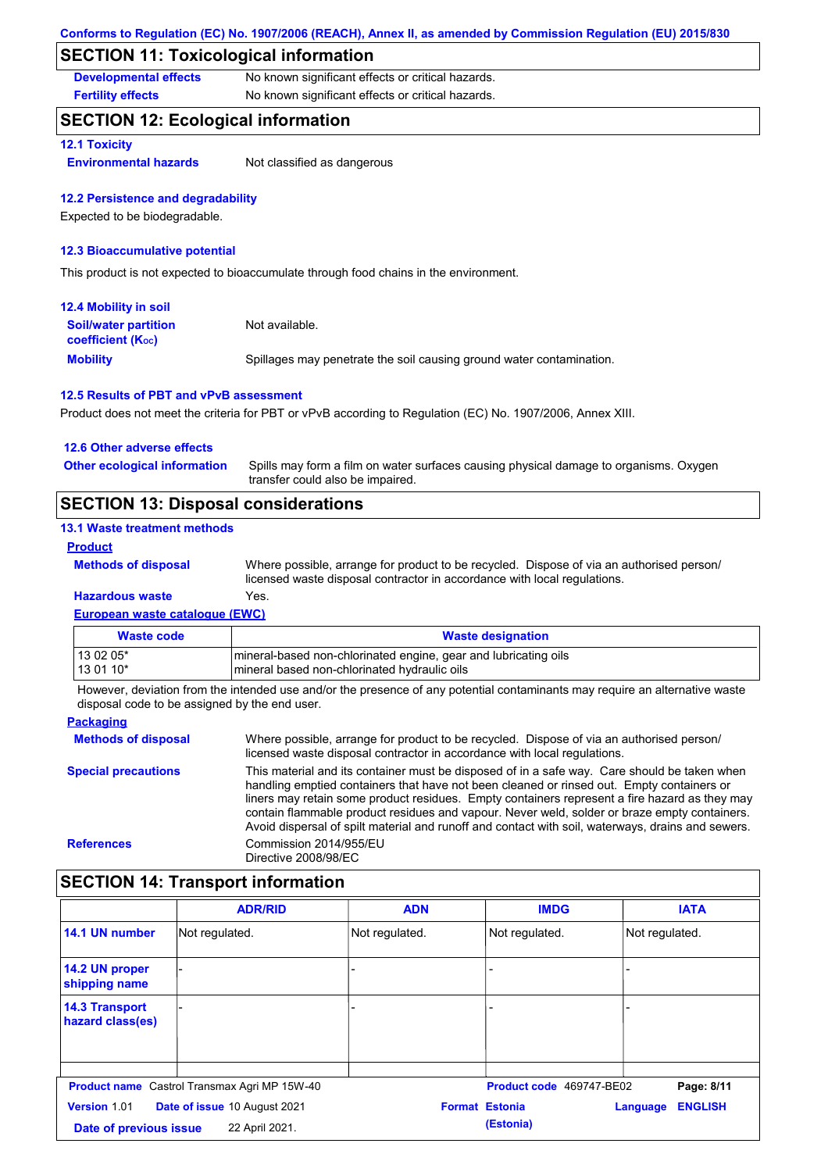## **SECTION 11: Toxicological information**

**Developmental effects** No known significant effects or critical hazards.

**Fertility effects** No known significant effects or critical hazards.

## **SECTION 12: Ecological information**

### **12.1 Toxicity**

**Environmental hazards** Not classified as dangerous

### **12.2 Persistence and degradability**

Expected to be biodegradable.

### **12.3 Bioaccumulative potential**

This product is not expected to bioaccumulate through food chains in the environment.

| <b>12.4 Mobility in soil</b>                                  |                                                                      |
|---------------------------------------------------------------|----------------------------------------------------------------------|
| <b>Soil/water partition</b><br>coefficient (K <sub>oc</sub> ) | Not available.                                                       |
| <b>Mobility</b>                                               | Spillages may penetrate the soil causing ground water contamination. |

### **12.5 Results of PBT and vPvB assessment**

Product does not meet the criteria for PBT or vPvB according to Regulation (EC) No. 1907/2006, Annex XIII.

| 12.6 Other adverse effects                 |                                                                                                                           |
|--------------------------------------------|---------------------------------------------------------------------------------------------------------------------------|
| <b>Other ecological information</b>        | Spills may form a film on water surfaces causing physical damage to organisms. Oxygen<br>transfer could also be impaired. |
| <b>SECTION 13: Disposal considerations</b> |                                                                                                                           |

### **13.1 Waste treatment methods**

### **Product**

**Methods of disposal**

Where possible, arrange for product to be recycled. Dispose of via an authorised person/ licensed waste disposal contractor in accordance with local regulations.

### **European waste catalogue (EWC) Hazardous waste** Yes.

| Waste code | <b>Waste designation</b>                                         |
|------------|------------------------------------------------------------------|
| 13 02 05*  | Imineral-based non-chlorinated engine, gear and lubricating oils |
| 13 01 10*  | Imineral based non-chlorinated hydraulic oils                    |

However, deviation from the intended use and/or the presence of any potential contaminants may require an alternative waste disposal code to be assigned by the end user.

#### **Packaging Methods of disposal Special precautions** Where possible, arrange for product to be recycled. Dispose of via an authorised person/ licensed waste disposal contractor in accordance with local regulations. This material and its container must be disposed of in a safe way. Care should be taken when handling emptied containers that have not been cleaned or rinsed out. Empty containers or liners may retain some product residues. Empty containers represent a fire hazard as they may contain flammable product residues and vapour. Never weld, solder or braze empty containers. Avoid dispersal of spilt material and runoff and contact with soil, waterways, drains and sewers. **References** Commission 2014/955/EU Directive 2008/98/EC

## **SECTION 14: Transport information**

|                                           | <b>ADR/RID</b>                                      | <b>ADN</b>     | <b>IMDG</b>              | <b>IATA</b>                |
|-------------------------------------------|-----------------------------------------------------|----------------|--------------------------|----------------------------|
| 14.1 UN number                            | Not regulated.                                      | Not regulated. | Not regulated.           | Not regulated.             |
| 14.2 UN proper<br>shipping name           |                                                     |                |                          |                            |
| <b>14.3 Transport</b><br>hazard class(es) |                                                     |                |                          |                            |
|                                           |                                                     |                |                          |                            |
|                                           | <b>Product name</b> Castrol Transmax Agri MP 15W-40 |                | Product code 469747-BE02 | Page: 8/11                 |
| <b>Version 1.01</b>                       | Date of issue 10 August 2021                        |                | <b>Format Estonia</b>    | <b>ENGLISH</b><br>Language |
| Date of previous issue                    | 22 April 2021.                                      |                | (Estonia)                |                            |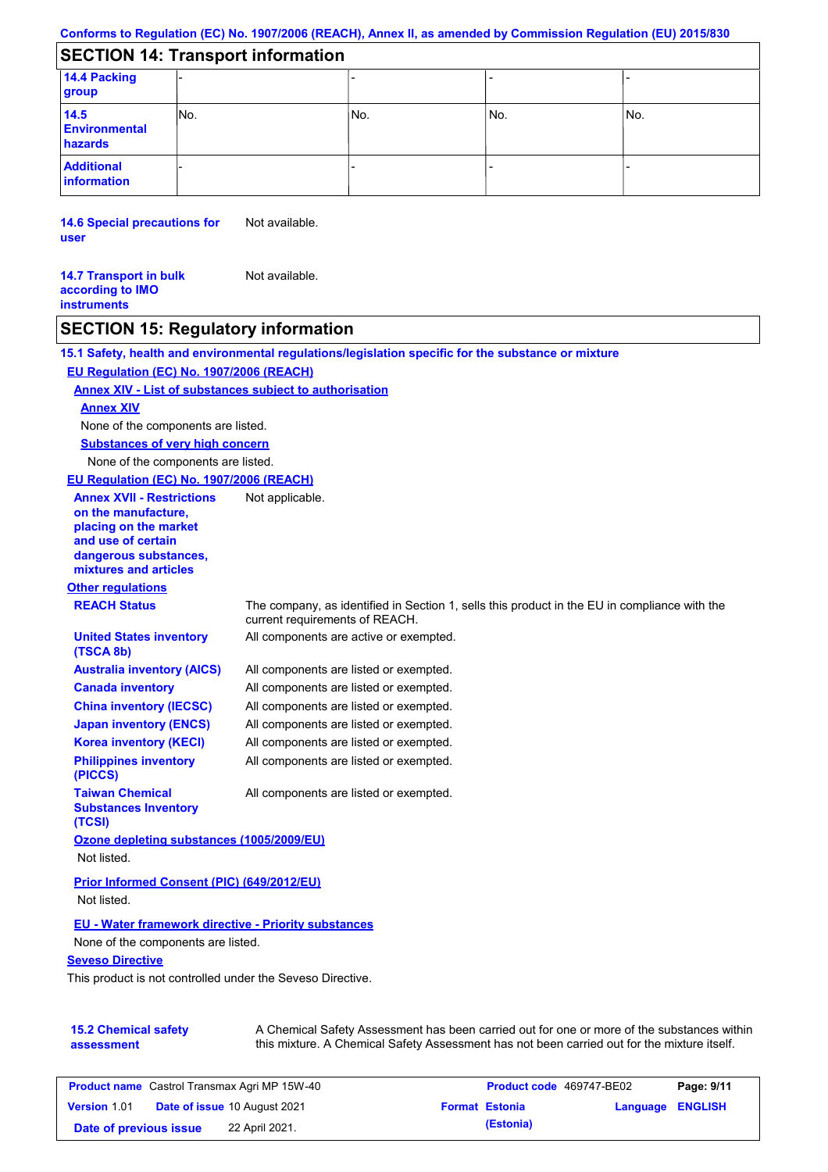# **SECTION 14: Transport information**

| 14.4 Packing<br>group                   |      |     |       |     |  |
|-----------------------------------------|------|-----|-------|-----|--|
| 14.5<br><b>Environmental</b><br>hazards | INo. | No. | l No. | No. |  |
| <b>Additional</b><br>information        |      |     |       |     |  |

**14.6 Special precautions for user** Not available.

**14.7 Transport in bulk according to IMO instruments** Not available.

## **SECTION 15: Regulatory information**

|                                                                                                                                                          | 15.1 Safety, health and environmental regulations/legislation specific for the substance or mixture                            |
|----------------------------------------------------------------------------------------------------------------------------------------------------------|--------------------------------------------------------------------------------------------------------------------------------|
| EU Regulation (EC) No. 1907/2006 (REACH)                                                                                                                 |                                                                                                                                |
| Annex XIV - List of substances subject to authorisation                                                                                                  |                                                                                                                                |
| <b>Annex XIV</b>                                                                                                                                         |                                                                                                                                |
| None of the components are listed.                                                                                                                       |                                                                                                                                |
| <b>Substances of very high concern</b>                                                                                                                   |                                                                                                                                |
| None of the components are listed.                                                                                                                       |                                                                                                                                |
| EU Regulation (EC) No. 1907/2006 (REACH)                                                                                                                 |                                                                                                                                |
| <b>Annex XVII - Restrictions</b><br>on the manufacture,<br>placing on the market<br>and use of certain<br>dangerous substances,<br>mixtures and articles | Not applicable.                                                                                                                |
| <b>Other regulations</b>                                                                                                                                 |                                                                                                                                |
| <b>REACH Status</b>                                                                                                                                      | The company, as identified in Section 1, sells this product in the EU in compliance with the<br>current requirements of REACH. |
| <b>United States inventory</b><br>(TSCA 8b)                                                                                                              | All components are active or exempted.                                                                                         |
| <b>Australia inventory (AICS)</b>                                                                                                                        | All components are listed or exempted.                                                                                         |
| <b>Canada inventory</b>                                                                                                                                  | All components are listed or exempted.                                                                                         |
| <b>China inventory (IECSC)</b>                                                                                                                           | All components are listed or exempted.                                                                                         |
| <b>Japan inventory (ENCS)</b>                                                                                                                            | All components are listed or exempted.                                                                                         |
| <b>Korea inventory (KECI)</b>                                                                                                                            | All components are listed or exempted.                                                                                         |
| <b>Philippines inventory</b><br>(PICCS)                                                                                                                  | All components are listed or exempted.                                                                                         |
| <b>Taiwan Chemical</b><br><b>Substances Inventory</b><br>(TCSI)                                                                                          | All components are listed or exempted.                                                                                         |
| Ozone depleting substances (1005/2009/EU)<br>Not listed.                                                                                                 |                                                                                                                                |
| Prior Informed Consent (PIC) (649/2012/EU)<br>Not listed.                                                                                                |                                                                                                                                |
| <b>EU - Water framework directive - Priority substances</b>                                                                                              |                                                                                                                                |
| None of the components are listed.                                                                                                                       |                                                                                                                                |
| <b>Seveso Directive</b>                                                                                                                                  |                                                                                                                                |
| This product is not controlled under the Seveso Directive.                                                                                               |                                                                                                                                |
| 15.2 Chemical safety                                                                                                                                     | A Chemical Safety Assessment has been carried out for one or more of the substances within                                     |

**15.2 Chemical safety assessment** A Chemical Safety Assessment has been carried out for one or more of the substances within this mixture. A Chemical Safety Assessment has not been carried out for the mixture itself.

| <b>Product name</b> Castrol Transmax Agri MP 15W-40 |  | <b>Product code</b> 469747-BE02     |  | Page: 9/11            |                         |  |
|-----------------------------------------------------|--|-------------------------------------|--|-----------------------|-------------------------|--|
| <b>Version 1.01</b>                                 |  | <b>Date of issue 10 August 2021</b> |  | <b>Format Estonia</b> | <b>Language ENGLISH</b> |  |
| Date of previous issue                              |  | 22 April 2021.                      |  | (Estonia)             |                         |  |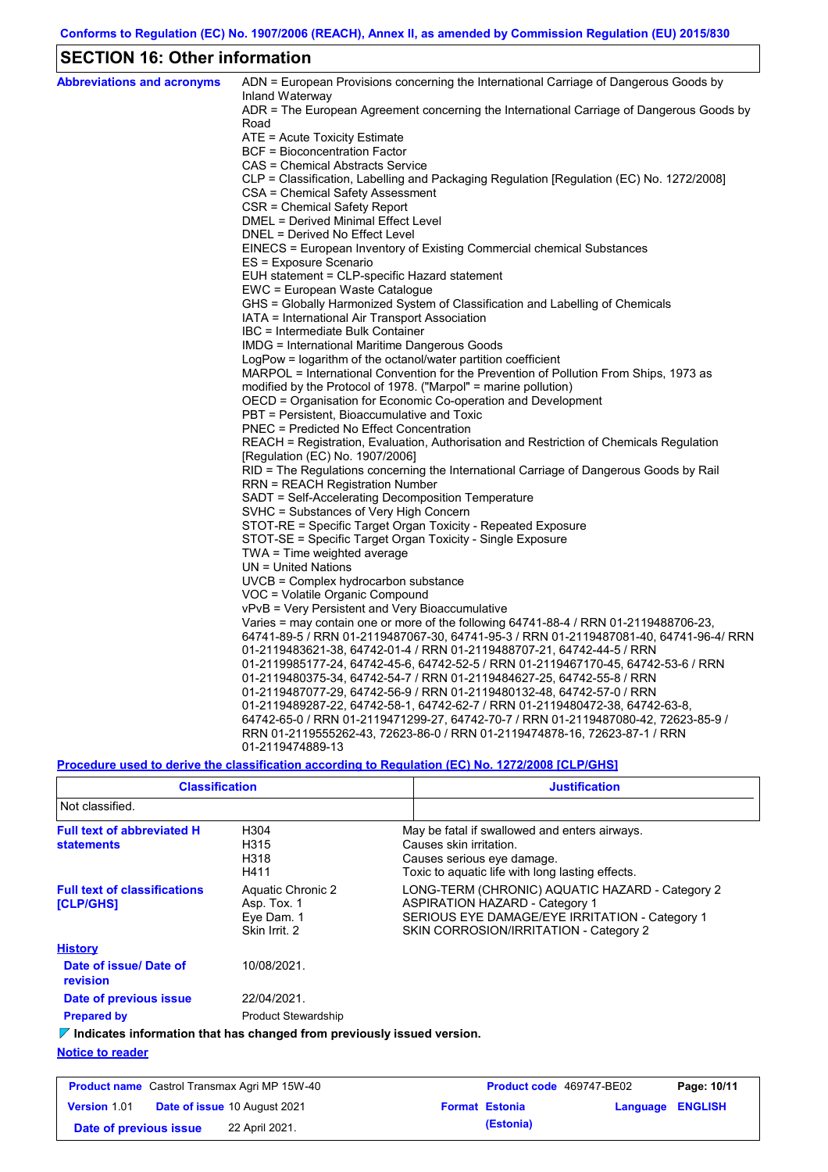# **SECTION 16: Other information**

| <b>Abbreviations and acronyms</b> | ADN = European Provisions concerning the International Carriage of Dangerous Goods by<br>Inland Waterway |
|-----------------------------------|----------------------------------------------------------------------------------------------------------|
|                                   | ADR = The European Agreement concerning the International Carriage of Dangerous Goods by                 |
|                                   | Road                                                                                                     |
|                                   | ATE = Acute Toxicity Estimate                                                                            |
|                                   | BCF = Bioconcentration Factor                                                                            |
|                                   | CAS = Chemical Abstracts Service                                                                         |
|                                   | CLP = Classification, Labelling and Packaging Regulation [Regulation (EC) No. 1272/2008]                 |
|                                   | CSA = Chemical Safety Assessment                                                                         |
|                                   | CSR = Chemical Safety Report                                                                             |
|                                   | DMEL = Derived Minimal Effect Level<br>DNEL = Derived No Effect Level                                    |
|                                   |                                                                                                          |
|                                   | EINECS = European Inventory of Existing Commercial chemical Substances<br>ES = Exposure Scenario         |
|                                   | EUH statement = CLP-specific Hazard statement                                                            |
|                                   | EWC = European Waste Catalogue                                                                           |
|                                   | GHS = Globally Harmonized System of Classification and Labelling of Chemicals                            |
|                                   | IATA = International Air Transport Association                                                           |
|                                   | IBC = Intermediate Bulk Container                                                                        |
|                                   | IMDG = International Maritime Dangerous Goods                                                            |
|                                   | LogPow = logarithm of the octanol/water partition coefficient                                            |
|                                   | MARPOL = International Convention for the Prevention of Pollution From Ships, 1973 as                    |
|                                   | modified by the Protocol of 1978. ("Marpol" = marine pollution)                                          |
|                                   | OECD = Organisation for Economic Co-operation and Development                                            |
|                                   | PBT = Persistent, Bioaccumulative and Toxic                                                              |
|                                   | <b>PNEC = Predicted No Effect Concentration</b>                                                          |
|                                   | REACH = Registration, Evaluation, Authorisation and Restriction of Chemicals Regulation                  |
|                                   | [Regulation (EC) No. 1907/2006]                                                                          |
|                                   | RID = The Regulations concerning the International Carriage of Dangerous Goods by Rail                   |
|                                   | <b>RRN = REACH Registration Number</b>                                                                   |
|                                   | SADT = Self-Accelerating Decomposition Temperature                                                       |
|                                   | SVHC = Substances of Very High Concern                                                                   |
|                                   | STOT-RE = Specific Target Organ Toxicity - Repeated Exposure                                             |
|                                   | STOT-SE = Specific Target Organ Toxicity - Single Exposure                                               |
|                                   | TWA = Time weighted average                                                                              |
|                                   | $UN = United Nations$                                                                                    |
|                                   | UVCB = Complex hydrocarbon substance                                                                     |
|                                   | VOC = Volatile Organic Compound                                                                          |
|                                   | vPvB = Very Persistent and Very Bioaccumulative                                                          |
|                                   | Varies = may contain one or more of the following $64741-88-4$ / RRN 01-2119488706-23,                   |
|                                   | 64741-89-5 / RRN 01-2119487067-30, 64741-95-3 / RRN 01-2119487081-40, 64741-96-4/ RRN                    |
|                                   | 01-2119483621-38, 64742-01-4 / RRN 01-2119488707-21, 64742-44-5 / RRN                                    |
|                                   | 01-2119985177-24, 64742-45-6, 64742-52-5 / RRN 01-2119467170-45, 64742-53-6 / RRN                        |
|                                   | 01-2119480375-34, 64742-54-7 / RRN 01-2119484627-25, 64742-55-8 / RRN                                    |
|                                   | 01-2119487077-29, 64742-56-9 / RRN 01-2119480132-48, 64742-57-0 / RRN                                    |
|                                   | 01-2119489287-22, 64742-58-1, 64742-62-7 / RRN 01-2119480472-38, 64742-63-8,                             |
|                                   | 64742-65-0 / RRN 01-2119471299-27, 64742-70-7 / RRN 01-2119487080-42, 72623-85-9 /                       |
|                                   | RRN 01-2119555262-43, 72623-86-0 / RRN 01-2119474878-16, 72623-87-1 / RRN                                |
|                                   | 01-2119474889-13                                                                                         |

## **Procedure used to derive the classification according to Regulation (EC) No. 1272/2008 [CLP/GHS]**

| <b>Classification</b>                                                                  |                                                                 | <b>Justification</b>                                                                                                                                                                 |
|----------------------------------------------------------------------------------------|-----------------------------------------------------------------|--------------------------------------------------------------------------------------------------------------------------------------------------------------------------------------|
| Not classified.                                                                        |                                                                 |                                                                                                                                                                                      |
| <b>Full text of abbreviated H</b><br><b>statements</b>                                 | H304<br>H315<br>H318<br>H411                                    | May be fatal if swallowed and enters airways.<br>Causes skin irritation.<br>Causes serious eye damage.<br>Toxic to aquatic life with long lasting effects.                           |
| <b>Full text of classifications</b><br>[CLP/GHS]                                       | Aquatic Chronic 2<br>Asp. Tox. 1<br>Eye Dam. 1<br>Skin Irrit. 2 | LONG-TERM (CHRONIC) AQUATIC HAZARD - Category 2<br><b>ASPIRATION HAZARD - Category 1</b><br>SERIOUS EYE DAMAGE/EYE IRRITATION - Category 1<br>SKIN CORROSION/IRRITATION - Category 2 |
| <b>History</b>                                                                         |                                                                 |                                                                                                                                                                                      |
| Date of issue/ Date of<br>revision                                                     | 10/08/2021.                                                     |                                                                                                                                                                                      |
| Date of previous issue                                                                 | 22/04/2021.                                                     |                                                                                                                                                                                      |
| <b>Prepared by</b>                                                                     | <b>Product Stewardship</b>                                      |                                                                                                                                                                                      |
| $\triangledown$ Indicates information that has changed from previously issued version. |                                                                 |                                                                                                                                                                                      |
| <b>Notice to reader</b>                                                                |                                                                 |                                                                                                                                                                                      |

| <b>Product name</b> Castrol Transmax Agri MP 15W-40 |  | <b>Product code</b> 469747-BE02     |  | Page: 10/11           |                  |  |
|-----------------------------------------------------|--|-------------------------------------|--|-----------------------|------------------|--|
| <b>Version 1.01</b>                                 |  | <b>Date of issue 10 August 2021</b> |  | <b>Format Estonia</b> | Language ENGLISH |  |
| Date of previous issue                              |  | 22 April 2021.                      |  | (Estonia)             |                  |  |